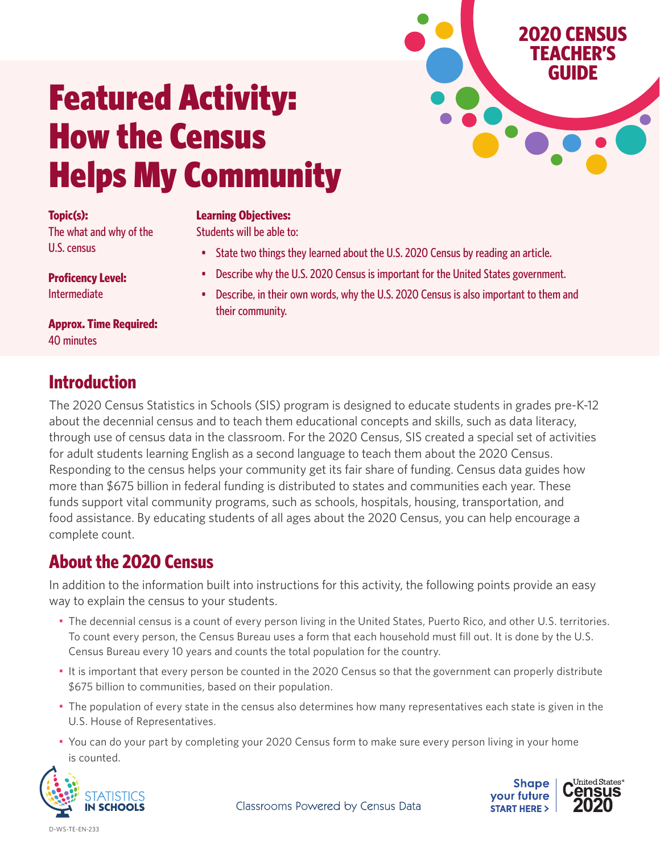# Featured Activity: How the Census Helps My Community

#### **Topic(s):**

The what and why of the U.S. census

**Approx. Time Required:** 40 minutes

## **Introduction**

The 2020 Census Statistics in Schools (SIS) program is designed to educate students in grades pre-K-12 about the decennial census and to teach them educational concepts and skills, such as data literacy, through use of census data in the classroom. For the 2020 Census, SIS created a special set of activities for adult students learning English as a second language to teach them about the 2020 Census. Responding to the census helps your community get its fair share of funding. Census data guides how more than \$675 billion in federal funding is distributed to states and communities each year. These funds support vital community programs, such as schools, hospitals, housing, transportation, and food assistance. By educating students of all ages about the 2020 Census, you can help encourage a complete count.

## **About the 2020 Census**

In addition to the information built into instructions for this activity, the following points provide an easy way to explain the census to your students.

- The decennial census is a count of every person living in the United States, Puerto Rico, and other U.S. territories. To count every person, the Census Bureau uses a form that each household must fill out. It is done by the U.S. Census Bureau every 10 years and counts the total population for the country.
- It is important that every person be counted in the 2020 Census so that the government can properly distribute \$675 billion to communities, based on their population.
- The population of every state in the census also determines how many representatives each state is given in the U.S. House of Representatives.
- You can do your part by completing your 2020 Census form to make sure every person living in your home is counted.





**2020 CENSUS TEACHER'S GUIDE**

Classrooms Powered by Census Data

**Proficency Level:** Intermediate

D-WS-TE-EN-233

their community.

#### **Learning Objectives:**

Students will be able to:

- State two things they learned about the U.S. 2020 Census by reading an article.
- Describe why the U.S. 2020 Census is important for the United States government.
- Describe, in their own words, why the U.S. 2020 Census is also important to them and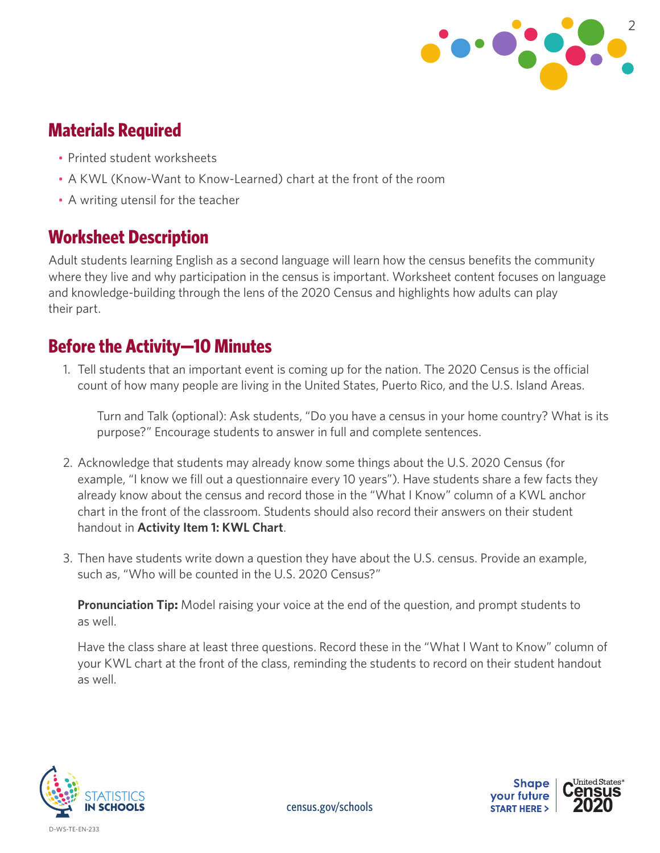

## **Materials Required**

- Printed student worksheets
- A KWL (Know-Want to Know-Learned) chart at the front of the room
- A writing utensil for the teacher

### **Worksheet Description**

Adult students learning English as a second language will learn how the census benefits the community where they live and why participation in the census is important. Worksheet content focuses on language and knowledge-building through the lens of the 2020 Census and highlights how adults can play their part.

### **Before the Activity—10 Minutes**

1. Tell students that an important event is coming up for the nation. The 2020 Census is the official count of how many people are living in the United States, Puerto Rico, and the U.S. Island Areas.

Turn and Talk (optional): Ask students, "Do you have a census in your home country? What is its purpose?" Encourage students to answer in full and complete sentences.

- 2. Acknowledge that students may already know some things about the U.S. 2020 Census (for example, "I know we fill out a questionnaire every 10 years"). Have students share a few facts they already know about the census and record those in the "What I Know" column of a KWL anchor chart in the front of the classroom. Students should also record their answers on their student handout in **Activity Item 1: KWL Chart**.
- 3. Then have students write down a question they have about the U.S. census. Provide an example, such as, "Who will be counted in the U.S. 2020 Census?"

**Pronunciation Tip:** Model raising your voice at the end of the question, and prompt students to as well.

Have the class share at least three questions. Record these in the "What I Want to Know" column of your KWL chart at the front of the class, reminding the students to record on their student handout as well.



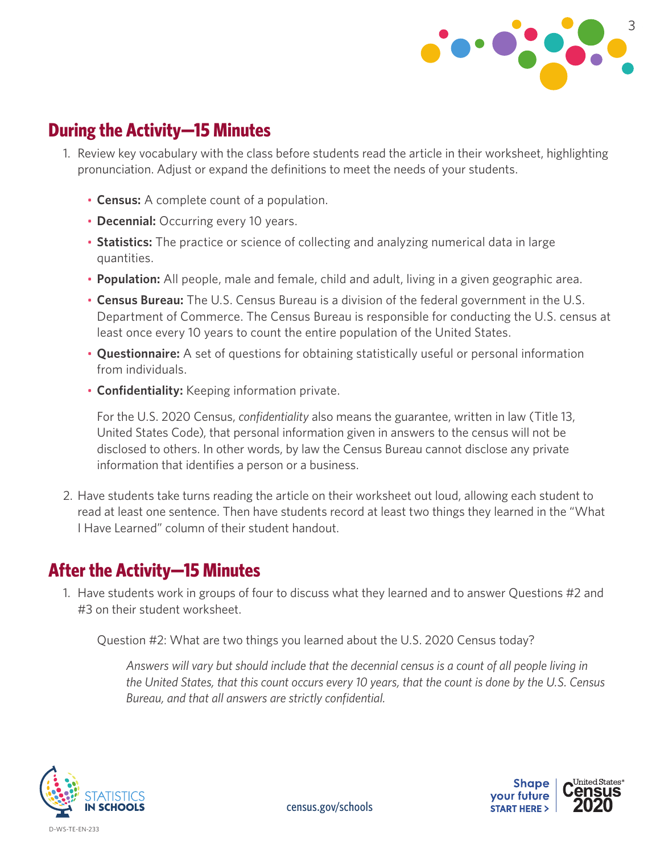

#### **During the Activity—15 Minutes**

- 1. Review key vocabulary with the class before students read the article in their worksheet, highlighting pronunciation. Adjust or expand the definitions to meet the needs of your students.
	- **Census:** A complete count of a population.
	- **Decennial:** Occurring every 10 years.
	- **Statistics:** The practice or science of collecting and analyzing numerical data in large quantities.
	- **Population:** All people, male and female, child and adult, living in a given geographic area.
	- **Census Bureau:** The U.S. Census Bureau is a division of the federal government in the U.S. Department of Commerce. The Census Bureau is responsible for conducting the U.S. census at least once every 10 years to count the entire population of the United States.
	- **Questionnaire:** A set of questions for obtaining statistically useful or personal information from individuals.
	- **Confidentiality:** Keeping information private.

For the U.S. 2020 Census, *confidentiality* also means the guarantee, written in law (Title 13, United States Code), that personal information given in answers to the census will not be disclosed to others. In other words, by law the Census Bureau cannot disclose any private information that identifies a person or a business.

2. Have students take turns reading the article on their worksheet out loud, allowing each student to read at least one sentence. Then have students record at least two things they learned in the "What I Have Learned" column of their student handout.

## **After the Activity—15 Minutes**

1. Have students work in groups of four to discuss what they learned and to answer Questions #2 and #3 on their student worksheet.

Question #2: What are two things you learned about the U.S. 2020 Census today?

*Answers will vary but should include that the decennial census is a count of all people living in the United States, that this count occurs every 10 years, that the count is done by the U.S. Census Bureau, and that all answers are strictly confidential.*



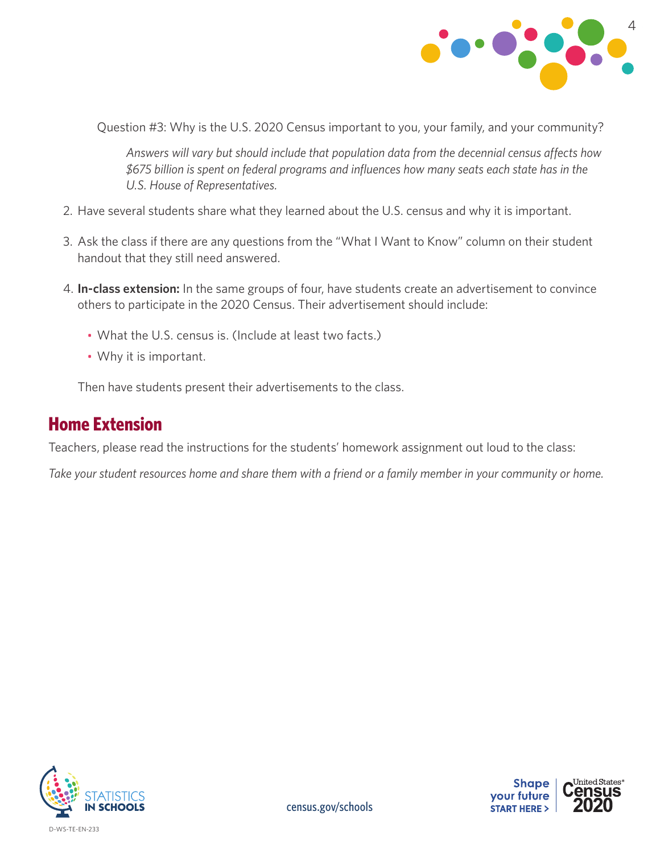

Question #3: Why is the U.S. 2020 Census important to you, your family, and your community?

*Answers will vary but should include that population data from the decennial census affects how \$675 billion is spent on federal programs and influences how many seats each state has in the U.S. House of Representatives.*

- 2. Have several students share what they learned about the U.S. census and why it is important.
- 3. Ask the class if there are any questions from the "What I Want to Know" column on their student handout that they still need answered.
- 4. **In-class extension:** In the same groups of four, have students create an advertisement to convince others to participate in the 2020 Census. Their advertisement should include:
	- What the U.S. census is. (Include at least two facts.)
	- Why it is important.

Then have students present their advertisements to the class.

#### **Home Extension**

Teachers, please read the instructions for the students' homework assignment out loud to the class:

*Take your student resources home and share them with a friend or a family member in your community or home.*





[census.gov/schools](http://census.gov/schools)